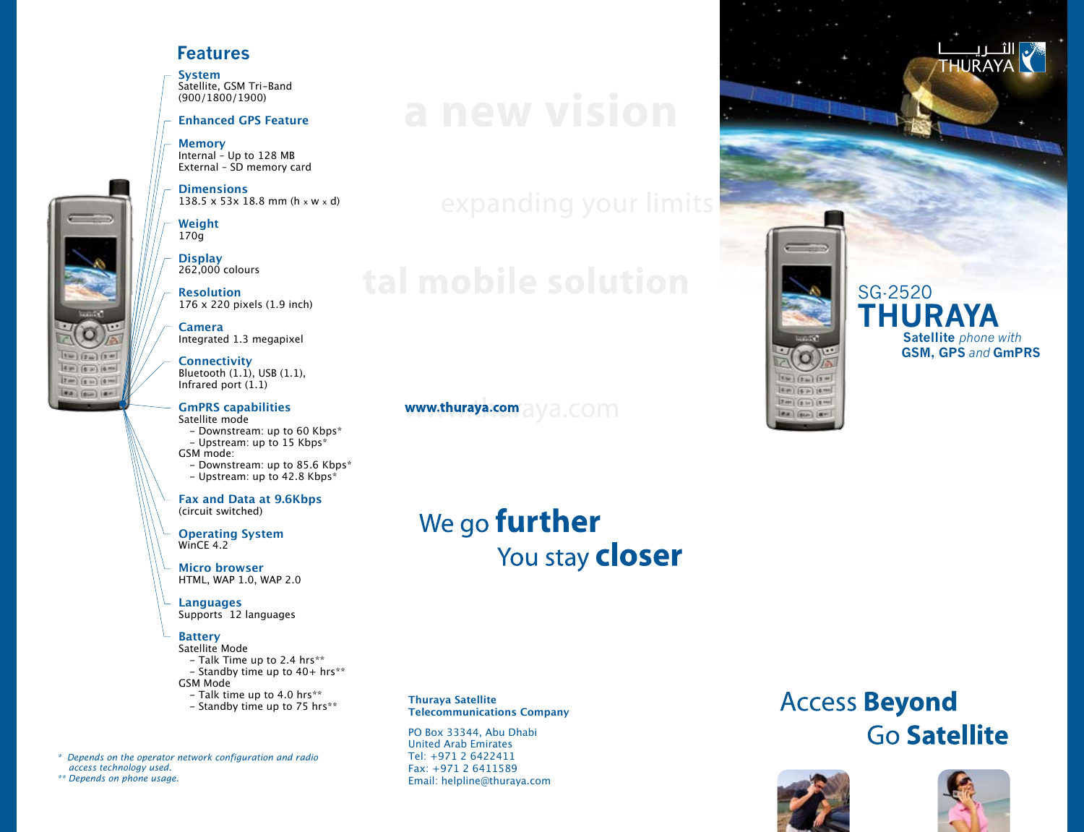### **Features**

**System**  Satellite, GSM Tri-Band (900/1800/1900)

#### **Enhanced GPS Feature**

**Memory**  Internal – Up to 128 MB External – SD memory card

**Dimensions**  $138.5 \times 53 \times 18.8 \text{ mm}$  (h  $\times$  W  $\times$  d)

**Weight** 170g

**Display** 262,000 colours

**Resolution** 176 x 220 pixels (1.9 inch)

**Camera** Integrated 1.3 megapixel

**Connectivity** Bluetooth (1.1), USB (1.1), Infrared port  $(1.1)$ 

#### **GmPRS capabilities**  Satellite mode

- Downstream: up to 60 Kbps\*
- Upstream: up to 15 Kbps\*

GSM mode:

- Downstream: up to 85.6 Kbps\*
- Upstream: up to 42.8 Kbps\*

**Fax and Data at 9.6Kbps**  (circuit switched)

**Operating System**  WinCE 4.2

**Micro browser** HTML, WAP 1.0, WAP 2.0

**Languages** Supports 12 languages

#### **Battery**

Satellite Mode - Talk Time up to 2.4 hrs\*\*

- Standby time up to  $40+$  hrs\*\*
- GSM Mode
- Talk time up to 4.0 hrs\*\*
- Standby time up to 75 hrs\*\*

*\* Depends on the operator network configuration and radio access technology used.*

*\*\* Depends on phone usage.*

 $\boxed{1} = \boxed{2} = \boxed{3} = 1$  $4P(6P)$   $6P$  $17$  m)  $(0 - 1)(0 - 1)$ 

 $(9.8)$  (6th) (8m)

www.thuraya.com a ya.com

# We go **further** You stay **closer**

**Thuraya Satellite Telecommunications Company**

PO Box 33344, Abu Dhabi United Arab Emirates Tel: +971 2 6422411 Fax: +971 2 6411589 Email: helpline@thuraya.com

# **Access Beyond Go Satellite**



 $114$  (2m) (3 m)  $50 (50)$   $50$ 

 $[7 \text{ cm}] \text{ (}0 \text{ m)} \text{ (}8 \text{ cm}]$ 



SG-2520 **THURAYA Satellite** *phone with*

 **GSM, GPS** *and* **GmPRS**

**HURAYA**